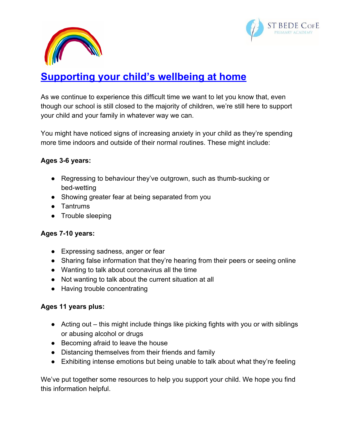



# **Supporting your child's wellbeing at home**

As we continue to experience this difficult time we want to let you know that, even though our school is still closed to the majority of children, we're still here to support your child and your family in whatever way we can.

You might have noticed signs of increasing anxiety in your child as they're spending more time indoors and outside of their normal routines. These might include:

#### **Ages 3-6 years:**

- Regressing to behaviour they've outgrown, such as thumb-sucking or bed-wetting
- Showing greater fear at being separated from you
- Tantrums
- Trouble sleeping

#### **Ages 7-10 years:**

- Expressing sadness, anger or fear
- Sharing false information that they're hearing from their peers or seeing online
- Wanting to talk about coronavirus all the time
- Not wanting to talk about the current situation at all
- Having trouble concentrating

## **Ages 11 years plus:**

- Acting out this might include things like picking fights with you or with siblings or abusing alcohol or drugs
- Becoming afraid to leave the house
- Distancing themselves from their friends and family
- Exhibiting intense emotions but being unable to talk about what they're feeling

We've put together some resources to help you support your child. We hope you find this information helpful.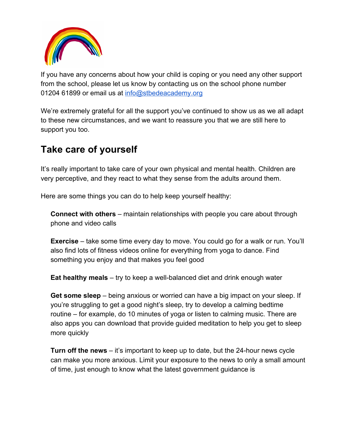

If you have any concerns about how your child is coping or you need any other support from the school, please let us know by contacting us on the school phone number 01204 61899 or email us at [info@stbedeacademy.org](mailto:info@stbedeacademy.org)

We're extremely grateful for all the support you've continued to show us as we all adapt to these new circumstances, and we want to reassure you that we are still here to support you too.

# **Take care of yourself**

It's really important to take care of your own physical and mental health. Children are very perceptive, and they react to what they sense from the adults around them.

Here are some things you can do to help keep yourself healthy:

**Connect with others** – maintain relationships with people you care about through phone and video calls

**Exercise** – take some time every day to move. You could go for a walk or run. You'll also find lots of fitness videos online for everything from yoga to dance. Find something you enjoy and that makes you feel good

**Eat healthy meals** – try to keep a well-balanced diet and drink enough water

**Get some sleep** – being anxious or worried can have a big impact on your sleep. If you're struggling to get a good night's sleep, try to develop a calming bedtime routine – for example, do 10 minutes of yoga or listen to calming music. There are also apps you can download that provide guided meditation to help you get to sleep more quickly

**Turn off the news** – it's important to keep up to date, but the 24-hour news cycle can make you more anxious. Limit your exposure to the news to only a small amount of time, just enough to know what the latest government guidance is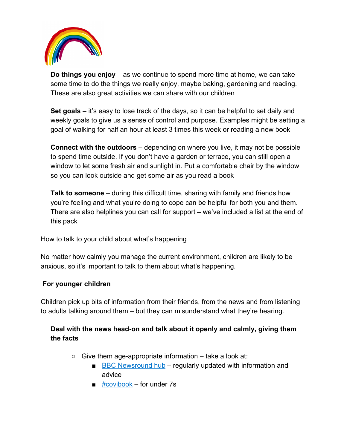

**Do things you enjoy** – as we continue to spend more time at home, we can take some time to do the things we really enjoy, maybe baking, gardening and reading. These are also great activities we can share with our children

**Set goals** – it's easy to lose track of the days, so it can be helpful to set daily and weekly goals to give us a sense of control and purpose. Examples might be setting a goal of walking for half an hour at least 3 times this week or reading a new book

**Connect with the outdoors** – depending on where you live, it may not be possible to spend time outside. If you don't have a garden or terrace, you can still open a window to let some fresh air and sunlight in. Put a comfortable chair by the window so you can look outside and get some air as you read a book

**Talk to someone** – during this difficult time, sharing with family and friends how you're feeling and what you're doing to cope can be helpful for both you and them. There are also helplines you can call for support – we've included a list at the end of this pack

How to talk to your child about what's happening

No matter how calmly you manage the current environment, children are likely to be anxious, so it's important to talk to them about what's happening.

## **For younger children**

Children pick up bits of information from their friends, from the news and from listening to adults talking around them – but they can misunderstand what they're hearing.

# **Deal with the news head-on and talk about it openly and calmly, giving them the facts**

- $\circ$  Give them age-appropriate information take a look at:
	- [BBC Newsround hub](https://www.bbc.co.uk/newsround/51204456) regularly updated with information and advice
	- $\blacksquare$  [#covibook](https://www.mindheart.co/descargables) for under 7s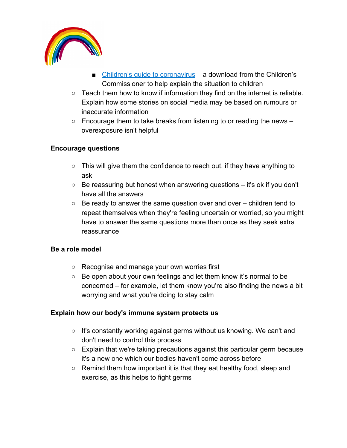

- [Children's guide to coronavirus](https://www.childrenscommissioner.gov.uk/publication/childrens-guide-to-coronavirus/)  a download from the Children's Commissioner to help explain the situation to children
- Teach them how to know if information they find on the internet is reliable. Explain how some stories on social media may be based on rumours or inaccurate information
- $\circ$  Encourage them to take breaks from listening to or reading the news  $$ overexposure isn't helpful

#### **Encourage questions**

- This will give them the confidence to reach out, if they have anything to ask
- $\circ$  Be reassuring but honest when answering questions it's ok if you don't have all the answers
- $\circ$  Be ready to answer the same question over and over children tend to repeat themselves when they're feeling uncertain or worried, so you might have to answer the same questions more than once as they seek extra reassurance

#### **Be a role model**

- Recognise and manage your own worries first
- Be open about your own feelings and let them know it's normal to be concerned – for example, let them know you're also finding the news a bit worrying and what you're doing to stay calm

#### **Explain how our body's immune system protects us**

- It's constantly working against germs without us knowing. We can't and don't need to control this process
- $\circ$  Explain that we're taking precautions against this particular germ because it's a new one which our bodies haven't come across before
- Remind them how important it is that they eat healthy food, sleep and exercise, as this helps to fight germs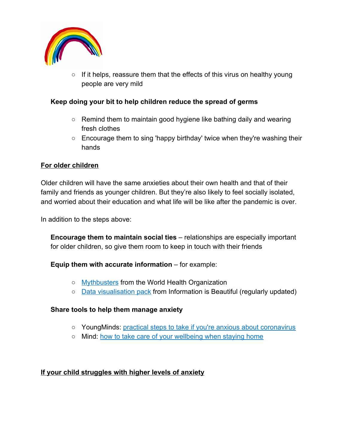

 $\circ$  If it helps, reassure them that the effects of this virus on healthy young people are very mild

#### **Keep doing your bit to help children reduce the spread of germs**

- $\circ$  Remind them to maintain good hygiene like bathing daily and wearing fresh clothes
- Encourage them to sing 'happy birthday' twice when they're washing their hands

#### **For older children**

Older children will have the same anxieties about their own health and that of their family and friends as younger children. But they're also likely to feel socially isolated, and worried about their education and what life will be like after the pandemic is over.

In addition to the steps above:

**Encourage them to maintain social ties** – relationships are especially important for older children, so give them room to keep in touch with their friends

**Equip them with accurate information** – for example:

- [Mythbusters](https://www.who.int/emergencies/diseases/novel-coronavirus-2019/advice-for-public/myth-busters) from the World Health Organization
- [Data visualisation pack](https://informationisbeautiful.net/visualizations/covid-19-coronavirus-infographic-datapack/) from Information is Beautiful (regularly updated)

#### **Share tools to help them manage anxiety**

- YoungMinds: [practical steps to take if you're anxious about coronavirus](https://youngminds.org.uk/blog/what-to-do-if-you-re-anxious-about-coronavirus/)
- Mind: [how to take care of your wellbeing when staying home](https://www.mind.org.uk/information-support/coronavirus-and-your-wellbeing)

#### **If your child struggles with higher levels of anxiety**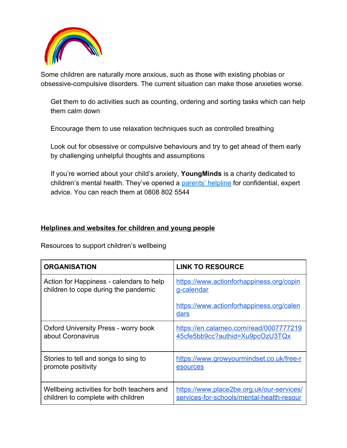

Some children are naturally more anxious, such as those with existing phobias or obsessive-compulsive disorders. The current situation can make those anxieties worse.

Get them to do activities such as counting, ordering and sorting tasks which can help them calm down

Encourage them to use relaxation techniques such as controlled breathing

Look out for obsessive or compulsive behaviours and try to get ahead of them early by challenging unhelpful thoughts and assumptions

If you're worried about your child's anxiety, **YoungMinds** is a charity dedicated to children's mental health. They've opened a [parents' helpline](https://youngminds.org.uk/find-help/for-parents/parents-helpline/) for confidential, expert advice. You can reach them at 0808 802 5544

#### **Helplines and websites for children and young people**

Resources to support children's wellbeing

| <b>ORGANISATION</b>                        | <b>LINK TO RESOURCE</b>                          |
|--------------------------------------------|--------------------------------------------------|
| Action for Happiness - calendars to help   | https://www.actionforhappiness.org/copin         |
| children to cope during the pandemic       | g-calendar                                       |
|                                            | https://www.actionforhappiness.org/calen<br>dars |
| Oxford University Press - worry book       | https://en.calameo.com/read/0007777219           |
| about Coronavirus                          | 45cfe5bb9cc?authid=Xu9pcOzU3TQx                  |
| Stories to tell and songs to sing to       | https://www.growyourmindset.co.uk/free-r         |
| promote positivity                         | esources                                         |
| Wellbeing activities for both teachers and | https://www.place2be.org.uk/our-services/        |
| children to complete with children         | services-for-schools/mental-health-resour        |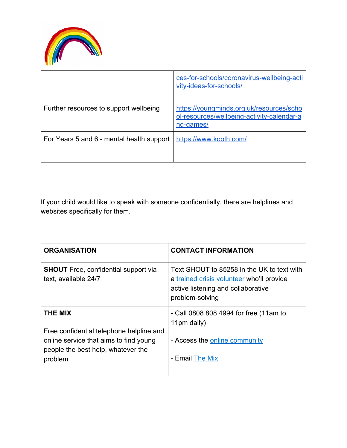

|                                           | ces-for-schools/coronavirus-wellbeing-acti<br>vity-ideas-for-schools/                               |
|-------------------------------------------|-----------------------------------------------------------------------------------------------------|
| Further resources to support wellbeing    | https://youngminds.org.uk/resources/scho<br>ol-resources/wellbeing-activity-calendar-a<br>nd-games/ |
| For Years 5 and 6 - mental health support | https://www.kooth.com/                                                                              |

If your child would like to speak with someone confidentially, there are helplines and websites specifically for them.

| <b>ORGANISATION</b>                                                                                                                 | <b>CONTACT INFORMATION</b>                                                                                                                       |
|-------------------------------------------------------------------------------------------------------------------------------------|--------------------------------------------------------------------------------------------------------------------------------------------------|
| <b>SHOUT</b> Free, confidential support via<br>text, available 24/7                                                                 | Text SHOUT to 85258 in the UK to text with<br>a trained crisis volunteer who'll provide<br>active listening and collaborative<br>problem-solving |
| THE MIX                                                                                                                             | - Call 0808 808 4994 for free (11am to<br>11pm daily)                                                                                            |
| Free confidential telephone helpline and<br>online service that aims to find young<br>people the best help, whatever the<br>problem | - Access the online community<br>- Email The Mix                                                                                                 |
|                                                                                                                                     |                                                                                                                                                  |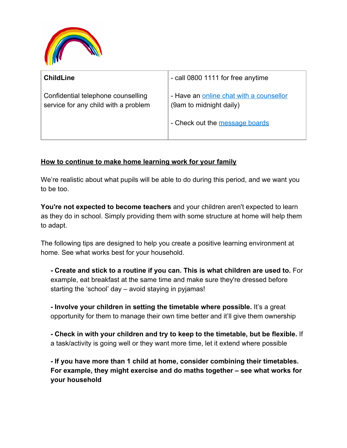

| <b>ChildLine</b>                                                           | - call 0800 1111 for free anytime                                                                    |
|----------------------------------------------------------------------------|------------------------------------------------------------------------------------------------------|
| Confidential telephone counselling<br>service for any child with a problem | - Have an online chat with a counsellor<br>(9am to midnight daily)<br>- Check out the message boards |

#### **How to continue to make home learning work for your family**

We're realistic about what pupils will be able to do during this period, and we want you to be too.

**You're not expected to become teachers** and your children aren't expected to learn as they do in school. Simply providing them with some structure at home will help them to adapt.

The following tips are designed to help you create a positive learning environment at home. See what works best for your household.

**- Create and stick to a routine if you can. This is what children are used to.** For example, eat breakfast at the same time and make sure they're dressed before starting the 'school' day – avoid staying in pyjamas!

**- Involve your children in setting the timetable where possible.** It's a great opportunity for them to manage their own time better and it'll give them ownership

**- Check in with your children and try to keep to the timetable, but be flexible.** If a task/activity is going well or they want more time, let it extend where possible

**- If you have more than 1 child at home, consider combining their timetables. For example, they might exercise and do maths together – see what works for your household**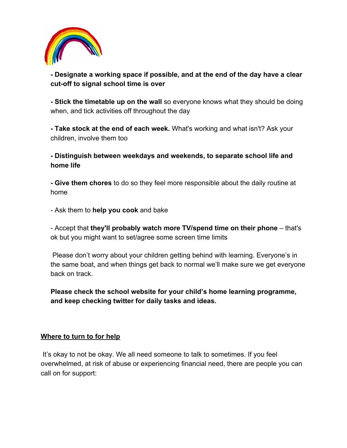

## **- Designate a working space if possible, and at the end of the day have a clear cut-off to signal school time is over**

**- Stick the timetable up on the wall** so everyone knows what they should be doing when, and tick activities off throughout the day

**- Take stock at the end of each week.** What's working and what isn't? Ask your children, involve them too

**- Distinguish between weekdays and weekends, to separate school life and home life**

**- Give them chores** to do so they feel more responsible about the daily routine at home

- Ask them to **help you cook** and bake

- Accept that **they'll probably watch more TV/spend time on their phone** – that's ok but you might want to set/agree some screen time limits

 Please don't worry about your children getting behind with learning. Everyone's in the same boat, and when things get back to normal we'll make sure we get everyone back on track.

**Please check the school website for your child's home learning programme, and keep checking twitter for daily tasks and ideas.**

#### **Where to turn to for help**

 It's okay to not be okay. We all need someone to talk to sometimes. If you feel overwhelmed, at risk of abuse or experiencing financial need, there are people you can call on for support: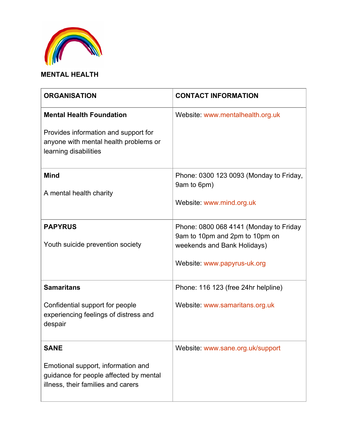

# **MENTAL HEALTH**

| <b>ORGANISATION</b>                                                                                                                       | <b>CONTACT INFORMATION</b>                                                                                                             |
|-------------------------------------------------------------------------------------------------------------------------------------------|----------------------------------------------------------------------------------------------------------------------------------------|
| <b>Mental Health Foundation</b><br>Provides information and support for<br>anyone with mental health problems or<br>learning disabilities | Website: www.mentalhealth.org.uk                                                                                                       |
| <b>Mind</b><br>A mental health charity                                                                                                    | Phone: 0300 123 0093 (Monday to Friday,<br>9am to 6pm)<br>Website: www.mind.org.uk                                                     |
| <b>PAPYRUS</b><br>Youth suicide prevention society                                                                                        | Phone: 0800 068 4141 (Monday to Friday<br>9am to 10pm and 2pm to 10pm on<br>weekends and Bank Holidays)<br>Website: www.papyrus-uk.org |
| <b>Samaritans</b><br>Confidential support for people<br>experiencing feelings of distress and<br>despair                                  | Phone: 116 123 (free 24hr helpline)<br>Website: www.samaritans.org.uk                                                                  |
| <b>SANE</b><br>Emotional support, information and<br>guidance for people affected by mental<br>illness, their families and carers         | Website: www.sane.org.uk/support                                                                                                       |